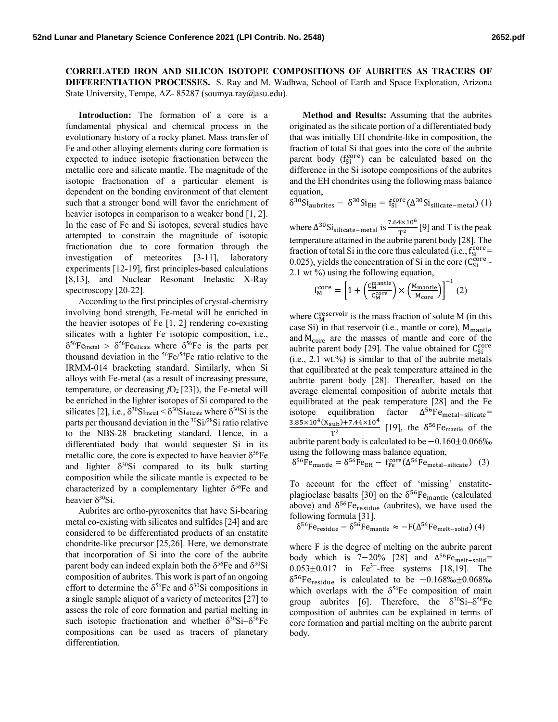**CORRELATED IRON AND SILICON ISOTOPE COMPOSITIONS OF AUBRITES AS TRACERS OF DIFFERENTIATION PROCESSES.** S. Ray and M. Wadhwa, School of Earth and Space Exploration, Arizona State University, Tempe, AZ-85287 (soumya.ray@asu.edu).

**Introduction:** The formation of a core is a fundamental physical and chemical process in the evolutionary history of a rocky planet. Mass transfer of Fe and other alloying elements during core formation is expected to induce isotopic fractionation between the metallic core and silicate mantle. The magnitude of the isotopic fractionation of a particular element is dependent on the bonding environment of that element such that a stronger bond will favor the enrichment of heavier isotopes in comparison to a weaker bond [1, 2]. In the case of Fe and Si isotopes, several studies have attempted to constrain the magnitude of isotopic fractionation due to core formation through the investigation of meteorites [3-11], laboratory experiments [12-19], first principles-based calculations [8,13], and Nuclear Resonant Inelastic X-Ray spectroscopy [20-22].

According to the first principles of crystal-chemistry involving bond strength, Fe-metal will be enriched in the heavier isotopes of Fe  $[1, 2]$  rendering co-existing silicates with a lighter Fe isotopic composition, i.e.,  $\delta^{56}$ Fe<sub>metal</sub> >  $\delta^{56}$ Fe<sub>silicate</sub> where  $\delta^{56}$ Fe is the parts per thousand deviation in the 56Fe/54Fe ratio relative to the IRMM-014 bracketing standard. Similarly, when Si alloys with Fe-metal (as a result of increasing pressure, temperature, or decreasing  $fO<sub>2</sub>$  [23]), the Fe-metal will be enriched in the lighter isotopes of Si compared to the silicates [2], i.e.,  $\delta^{30}$ Si<sub>metal</sub>  $< \delta^{30}$ Si<sub>silicate</sub> where  $\delta^{30}$ Si is the parts per thousand deviation in the  $30Si/28Si$  ratio relative to the NBS-28 bracketing standard. Hence, in a differentiated body that would sequester Si in its metallic core, the core is expected to have heavier  $\delta^{56}$ Fe and lighter  $\delta^{30}$ Si compared to its bulk starting composition while the silicate mantle is expected to be characterized by a complementary lighter  $\delta^{56}$ Fe and heavier  $\delta^{30}$ Si.

Aubrites are ortho-pyroxenites that have Si-bearing metal co-existing with silicates and sulfides [24] and are considered to be differentiated products of an enstatite chondrite-like precursor [25,26]. Here, we demonstrate that incorporation of Si into the core of the aubrite parent body can indeed explain both the  $\delta^{56}$ Fe and  $\delta^{30}$ Si composition of aubrites. This work is part of an ongoing effort to determine the  $\delta^{56}$ Fe and  $\delta^{30}$ Si compositions in a single sample aliquot of a variety of meteorites [27] to assess the role of core formation and partial melting in such isotopic fractionation and whether  $\delta^{30}Si-\delta^{56}Fe$ compositions can be used as tracers of planetary differentiation.

**Method and Results:** Assuming that the aubrites originated as the silicate portion of a differentiated body that was initially EH chondrite-like in composition, the fraction of total Si that goes into the core of the aubrite parent body  $(f_{Si}^{core})$  can be calculated based on the difference in the Si isotope compositions of the aubrites and the EH chondrites using the following mass balance equation,

 $\delta^{30}$ Si<sub>aubrites</sub> –  $\delta^{30}$ Si<sub>EH</sub> = f<sub>Si</sub><sup>core</sup>( $\Delta^{30}$ Si<sub>silicate–metal</sub>)(1)

where  $\Delta^{30}Si_{silicate-metal}$  is  $\frac{7.64 \times 10^6}{T^2}$  [9] and T is the peak temperature attained in the aubrite parent body [28]. The fraction of total Si in the core thus calculated (i.e.,  $f_{Si}^{core}$ 0.025), yields the concentration of Si in the core ( $\overline{C}_{Si}^{\text{core}}$ ~ 2.1 wt %) using the following equation,

$$
f_M^{\text{core}} = \left[1 + \left(\frac{c_M^{\text{mantle}}}{c_M^{\text{core}}}\right) \times \left(\frac{M_{\text{mantle}}}{M_{\text{core}}}\right)\right]^{-1}(2)
$$

where  $C_M^{\text{reservoir}}$  is the mass fraction of solute M (in this case Si) in that reservoir (i.e., mantle or core),  $M_{\text{mantle}}$ and  $M_{\text{core}}$  are the masses of mantle and core of the aubrite parent body [29]. The value obtained for  $C_{Si}^{core}$  $(i.e., 2.1 wt.%)$  is similar to that of the aubrite metals that equilibrated at the peak temperature attained in the aubrite parent body [28]. Thereafter, based on the average elemental composition of aubrite metals that equilibrated at the peak temperature [28] and the Fe isotope equilibration factor  $\Delta^{56}$ Fe<sub>metal-silicate</sub>=  $\frac{3.85 \times 10^4 (X_{sub}) + 7.44 \times 10^4}{T^2}$  [19], the  $\delta^{56}$ Fe<sub>mantle</sub> of the aubrite parent body is calculated to be  $-0.160 \pm 0.066\%$ using the following mass balance equation,

 $\delta^{56}$ Fe<sub>mantle</sub> =  $\delta^{56}$ Fe<sub>EH</sub> – f<sub>Fe</sub><sup>core</sup>( $\Delta^{56}$ Fe<sub>metal-silicate</sub>) (3)

To account for the effect of 'missing' enstatiteplagioclase basalts [30] on the  $\delta^{56}$ Fe<sub>mantle</sub> (calculated above) and  $\delta^{56}Fe_{residue}$  (aubrites), we have used the following formula [31],

 $\delta^{56}$ Fe<sub>residue</sub> –  $\delta^{56}$ Fe<sub>mantle</sub>  $\approx$  – $F(\Delta^{56}$ Fe<sub>melt-solid</sub>) (4)

where F is the degree of melting on the aubrite parent body which is  $7-20%$  [28] and  $\Delta^{56}$ Fe<sub>melt-solid</sub>=  $0.053 \pm 0.017$  in Fe<sup>3+</sup>-free systems [18,19]. The  $\delta^{56}$ Fe<sub>residue</sub> is calculated to be  $-0.168\%$ <sub>0</sub>±0.068‰ which overlaps with the  $\delta^{56}$ Fe composition of main group aubrites [6]. Therefore, the  $\delta^{30}$ Si- $\delta^{56}$ Fe composition of aubrites can be explained in terms of core formation and partial melting on the aubrite parent body.